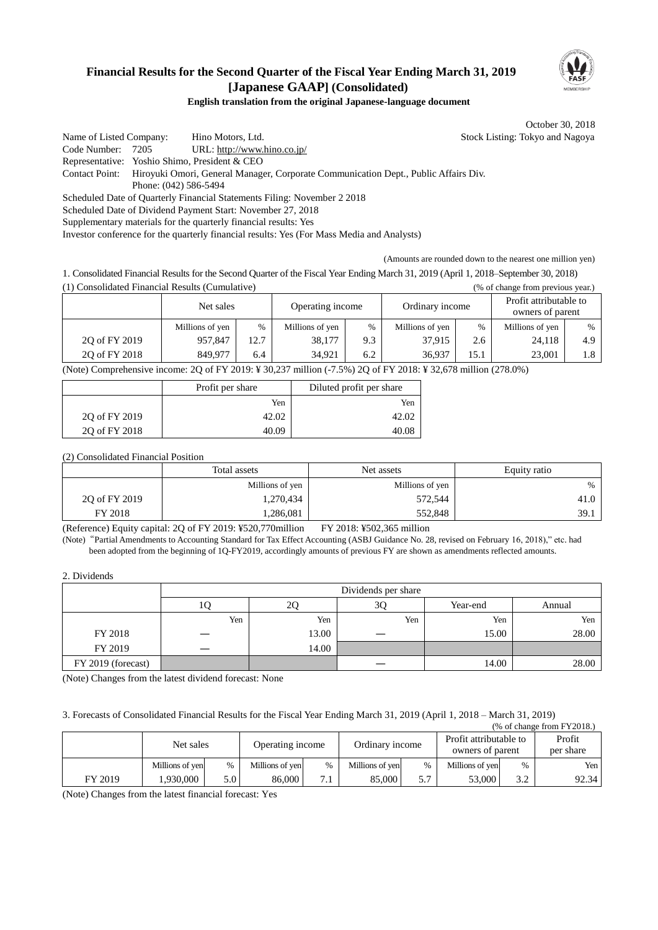# **Financial Results for the Second Quarter of the Fiscal Year Ending March 31, 2019 [Japanese GAAP] (Consolidated)**



### **English translation from the original Japanese-language document**

October 30, 2018

Name of Listed Company: Hino Motors, Ltd. Stock Listing: Tokyo and Nagoya Code Number: 7205 URL: http://www.hino.co.jp/ Representative: Yoshio Shimo, President & CEO Contact Point: Hiroyuki Omori, General Manager, Corporate Communication Dept., Public Affairs Div. Phone: (042) 586-5494 Scheduled Date of Quarterly Financial Statements Filing: November 2 2018 Scheduled Date of Dividend Payment Start: November 27, 2018 Supplementary materials for the quarterly financial results: Yes

Investor conference for the quarterly financial results: Yes (For Mass Media and Analysts)

(Amounts are rounded down to the nearest one million yen)

1. Consolidated Financial Results for the Second Quarter of the Fiscal Year Ending March 31, 2019 (April 1, 2018–September 30, 2018) (1) Consolidated Financial Results (Cumulative) (% of change from previous year.)

|                                                               | Net sales       |      | Operating income |               | Ordinary income |      | Profit attributable to<br>owners of parent |      |
|---------------------------------------------------------------|-----------------|------|------------------|---------------|-----------------|------|--------------------------------------------|------|
|                                                               | Millions of yen | $\%$ | Millions of yen  | $\frac{0}{0}$ | Millions of yen | %    | Millions of yen                            | $\%$ |
| 20 of FY 2019                                                 | 957,847         | 12.7 | 38,177           | 9.3           | 37.915          | 2.6  | 24,118                                     | 4.9  |
| 20 of FY 2018                                                 | 849.977         | 6.4  | 34.921           | 6.2           | 36.937          | 15.1 | 23.001                                     | 1.8  |
| <br><br>(0.7000)<br>$\mathbf{A}$<br>$20$ $0.7372201017200207$ |                 |      |                  |               |                 |      |                                            |      |

(Note) Comprehensive income: 2Q of FY 2019: ¥ 30,237 million (-7.5%) 2Q of FY 2018: ¥ 32,678 million (278.0%)

|               | Profit per share | Diluted profit per share |  |
|---------------|------------------|--------------------------|--|
|               | Yen              | Yen                      |  |
| 2Q of FY 2019 | 42.02            |                          |  |
| 20 of FY 2018 | 40.09            |                          |  |

(2) Consolidated Financial Position

|               | Total assets    | Net assets      |      |
|---------------|-----------------|-----------------|------|
|               | Millions of yen | Millions of yen | $\%$ |
| 20 of FY 2019 | 1,270,434       | 572,544         | 41.0 |
| FY 2018       | .286,081        | 552,848         | 39.1 |

(Reference) Equity capital: 2Q of FY 2019: ¥520,770million FY 2018: ¥502,365 million

(Note)"Partial Amendments to Accounting Standard for Tax Effect Accounting (ASBJ Guidance No. 28, revised on February 16, 2018)," etc. had been adopted from the beginning of 1Q-FY2019, accordingly amounts of previous FY are shown as amendments reflected amounts.

2. Dividends

|                    | Dividends per share |       |     |          |        |
|--------------------|---------------------|-------|-----|----------|--------|
|                    | ΙV                  | 2Q    | 3Q  | Year-end | Annual |
|                    | Yen                 | Yen   | Yen | Yen      | Yen    |
| FY 2018            |                     | 13.00 |     | 15.00    | 28.00  |
| FY 2019            |                     | 14.00 |     |          |        |
| FY 2019 (forecast) |                     |       |     | 14.00    | 28.00  |

(Note) Changes from the latest dividend forecast: None

3. Forecasts of Consolidated Financial Results for the Fiscal Year Ending March 31, 2019 (April 1, 2018 – March 31, 2019)

| $%$ of change from FY2018.) |                 |       |                  |                |                 |               |                                            |      |                     |
|-----------------------------|-----------------|-------|------------------|----------------|-----------------|---------------|--------------------------------------------|------|---------------------|
|                             | Net sales       |       | Operating income |                | Ordinary income |               | Profit attributable to<br>owners of parent |      | Profit<br>per share |
|                             | Millions of yen | $\%$  | Millions of yen  | $\%$           | Millions of ven | $\frac{0}{0}$ | Millions of ven                            | $\%$ | Yen                 |
| FY 2019                     | .930.000        | 5.0 ' | 86,000           | $\overline{ }$ | 85,000          | 5.7           | 53,000                                     | 3.2  | 92.34               |

(Note) Changes from the latest financial forecast: Yes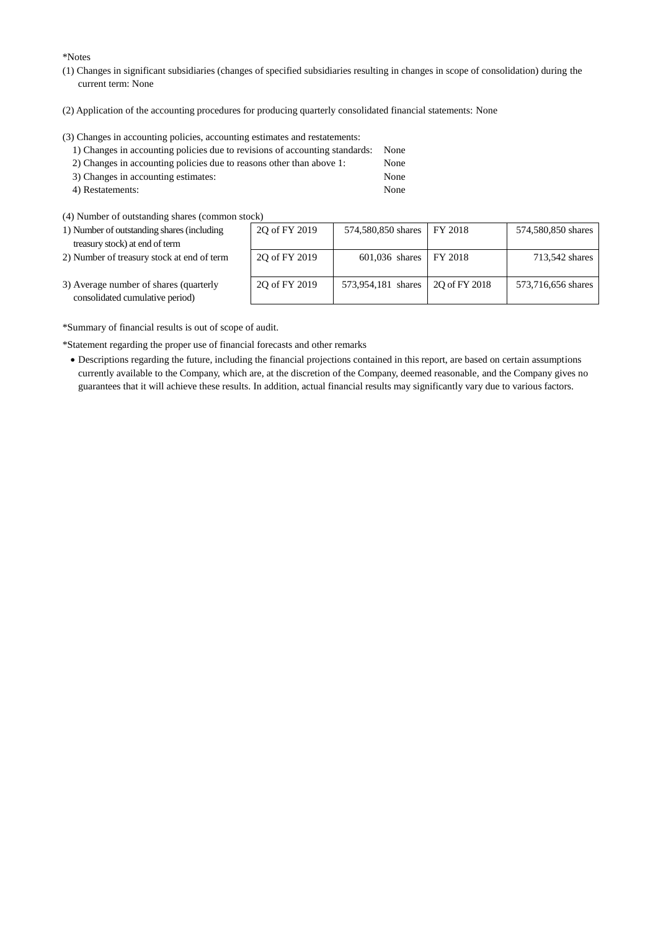\*Notes

- (1) Changes in significant subsidiaries (changes of specified subsidiaries resulting in changes in scope of consolidation) during the current term: None
- (2) Application of the accounting procedures for producing quarterly consolidated financial statements: None

(3) Changes in accounting policies, accounting estimates and restatements:

| 1) Changes in accounting policies due to revisions of accounting standards: None |      |
|----------------------------------------------------------------------------------|------|
| 2) Changes in accounting policies due to reasons other than above 1:             | None |
| 3) Changes in accounting estimates:                                              | None |

- 4) Restatements: None
- (4) Number of outstanding shares (common stock)
- 1) Number of outstanding shares (including treasury stock) at end of term
- 2) Number of treasury stock at end of term

| OCK)          |                    |               |                    |
|---------------|--------------------|---------------|--------------------|
| 2Q of FY 2019 | 574,580,850 shares | FY 2018       | 574,580,850 shares |
|               |                    |               |                    |
| 2Q of FY 2019 | $601,036$ shares   | FY 2018       | 713,542 shares     |
| 20 of FY 2019 | 573,954,181 shares | 20 of FY 2018 | 573,716,656 shares |

3) Average number of shares (quarterly consolidated cumulative period)

\*Summary of financial results is out of scope of audit.

\*Statement regarding the proper use of financial forecasts and other remarks

 Descriptions regarding the future, including the financial projections contained in this report, are based on certain assumptions currently available to the Company, which are, at the discretion of the Company, deemed reasonable, and the Company gives no guarantees that it will achieve these results. In addition, actual financial results may significantly vary due to various factors.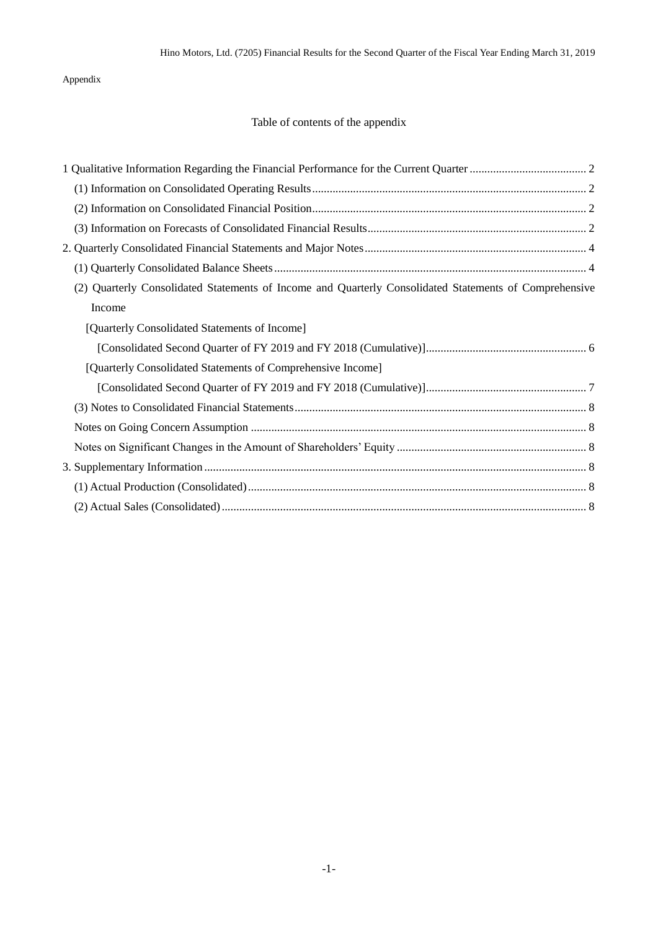Appendix

# Table of contents of the appendix

| (2) Quarterly Consolidated Statements of Income and Quarterly Consolidated Statements of Comprehensive |  |
|--------------------------------------------------------------------------------------------------------|--|
| Income                                                                                                 |  |
| [Quarterly Consolidated Statements of Income]                                                          |  |
|                                                                                                        |  |
| [Quarterly Consolidated Statements of Comprehensive Income]                                            |  |
|                                                                                                        |  |
|                                                                                                        |  |
|                                                                                                        |  |
|                                                                                                        |  |
|                                                                                                        |  |
|                                                                                                        |  |
|                                                                                                        |  |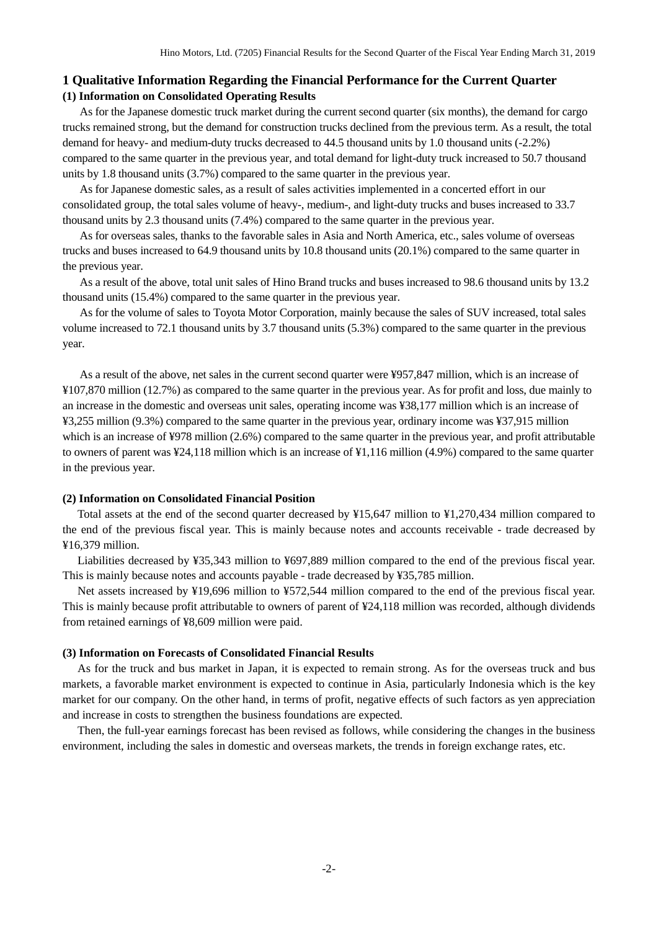### <span id="page-3-1"></span><span id="page-3-0"></span>**1 Qualitative Information Regarding the Financial Performance for the Current Quarter (1) Information on Consolidated Operating Results**

As for the Japanese domestic truck market during the current second quarter (six months), the demand for cargo trucks remained strong, but the demand for construction trucks declined from the previous term. As a result, the total demand for heavy- and medium-duty trucks decreased to 44.5 thousand units by 1.0 thousand units (-2.2%) compared to the same quarter in the previous year, and total demand for light-duty truck increased to 50.7 thousand units by 1.8 thousand units (3.7%) compared to the same quarter in the previous year.

As for Japanese domestic sales, as a result of sales activities implemented in a concerted effort in our consolidated group, the total sales volume of heavy-, medium-, and light-duty trucks and buses increased to 33.7 thousand units by 2.3 thousand units (7.4%) compared to the same quarter in the previous year.

As for overseas sales, thanks to the favorable sales in Asia and North America, etc., sales volume of overseas trucks and buses increased to 64.9 thousand units by 10.8 thousand units (20.1%) compared to the same quarter in the previous year.

As a result of the above, total unit sales of Hino Brand trucks and buses increased to 98.6 thousand units by 13.2 thousand units (15.4%) compared to the same quarter in the previous year.

As for the volume of sales to Toyota Motor Corporation, mainly because the sales of SUV increased, total sales volume increased to 72.1 thousand units by 3.7 thousand units (5.3%) compared to the same quarter in the previous year.

As a result of the above, net sales in the current second quarter were ¥957,847 million, which is an increase of ¥107,870 million (12.7%) as compared to the same quarter in the previous year. As for profit and loss, due mainly to an increase in the domestic and overseas unit sales, operating income was ¥38,177 million which is an increase of ¥3,255 million (9.3%) compared to the same quarter in the previous year, ordinary income was ¥37,915 million which is an increase of ¥978 million (2.6%) compared to the same quarter in the previous year, and profit attributable to owners of parent was ¥24,118 million which is an increase of ¥1,116 million (4.9%) compared to the same quarter in the previous year.

#### <span id="page-3-2"></span>**(2) Information on Consolidated Financial Position**

Total assets at the end of the second quarter decreased by ¥15,647 million to ¥1,270,434 million compared to the end of the previous fiscal year. This is mainly because notes and accounts receivable - trade decreased by ¥16,379 million.

Liabilities decreased by ¥35,343 million to ¥697,889 million compared to the end of the previous fiscal year. This is mainly because notes and accounts payable - trade decreased by ¥35,785 million.

Net assets increased by ¥19,696 million to ¥572,544 million compared to the end of the previous fiscal year. This is mainly because profit attributable to owners of parent of ¥24,118 million was recorded, although dividends from retained earnings of ¥8,609 million were paid.

### <span id="page-3-3"></span>**(3) Information on Forecasts of Consolidated Financial Results**

As for the truck and bus market in Japan, it is expected to remain strong. As for the overseas truck and bus markets, a favorable market environment is expected to continue in Asia, particularly Indonesia which is the key market for our company. On the other hand, in terms of profit, negative effects of such factors as yen appreciation and increase in costs to strengthen the business foundations are expected.

Then, the full-year earnings forecast has been revised as follows, while considering the changes in the business environment, including the sales in domestic and overseas markets, the trends in foreign exchange rates, etc.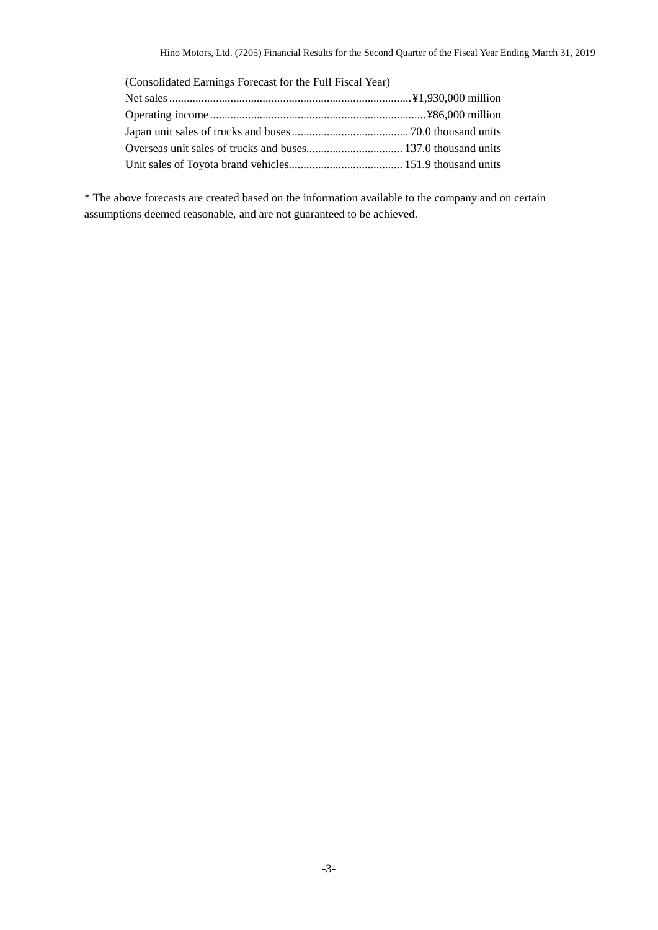| (Consolidated Earnings Forecast for the Full Fiscal Year) |  |
|-----------------------------------------------------------|--|
|                                                           |  |
|                                                           |  |
|                                                           |  |
|                                                           |  |
|                                                           |  |

\* The above forecasts are created based on the information available to the company and on certain assumptions deemed reasonable, and are not guaranteed to be achieved.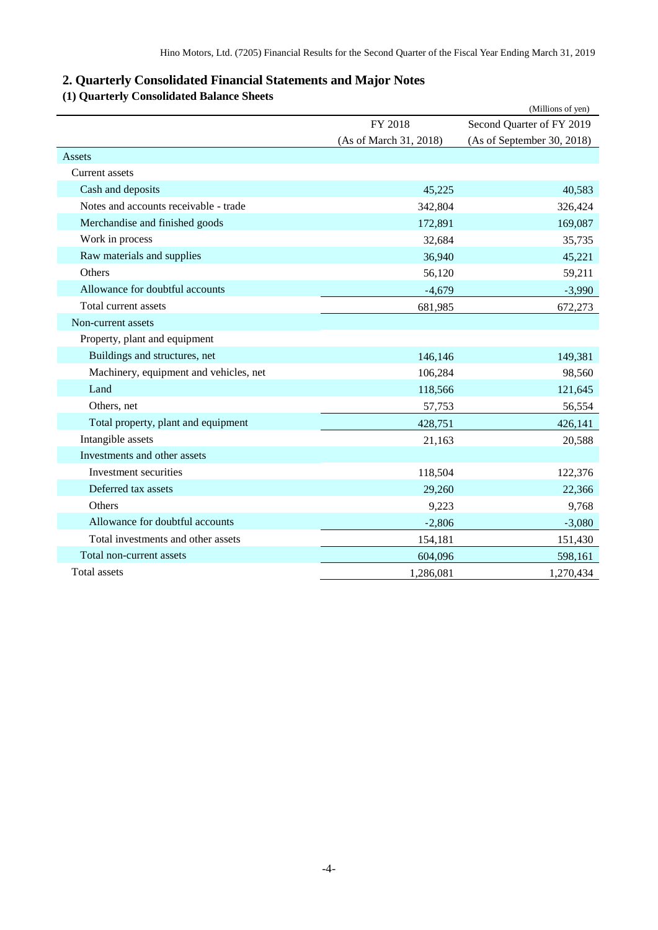# <span id="page-5-0"></span>**2. Quarterly Consolidated Financial Statements and Major Notes**

# <span id="page-5-1"></span>**(1) Quarterly Consolidated Balance Sheets**

|                                        |                        | (Millions of yen)          |
|----------------------------------------|------------------------|----------------------------|
|                                        | FY 2018                | Second Quarter of FY 2019  |
|                                        | (As of March 31, 2018) | (As of September 30, 2018) |
| Assets                                 |                        |                            |
| <b>Current assets</b>                  |                        |                            |
| Cash and deposits                      | 45,225                 | 40,583                     |
| Notes and accounts receivable - trade  | 342,804                | 326,424                    |
| Merchandise and finished goods         | 172,891                | 169,087                    |
| Work in process                        | 32,684                 | 35,735                     |
| Raw materials and supplies             | 36,940                 | 45,221                     |
| Others                                 | 56,120                 | 59,211                     |
| Allowance for doubtful accounts        | $-4,679$               | $-3,990$                   |
| Total current assets                   | 681,985                | 672,273                    |
| Non-current assets                     |                        |                            |
| Property, plant and equipment          |                        |                            |
| Buildings and structures, net          | 146,146                | 149,381                    |
| Machinery, equipment and vehicles, net | 106,284                | 98,560                     |
| Land                                   | 118,566                | 121,645                    |
| Others, net                            | 57,753                 | 56,554                     |
| Total property, plant and equipment    | 428,751                | 426,141                    |
| Intangible assets                      | 21,163                 | 20,588                     |
| Investments and other assets           |                        |                            |
| Investment securities                  | 118,504                | 122,376                    |
| Deferred tax assets                    | 29,260                 | 22,366                     |
| Others                                 | 9,223                  | 9,768                      |
| Allowance for doubtful accounts        | $-2,806$               | $-3,080$                   |
| Total investments and other assets     | 154,181                | 151,430                    |
| Total non-current assets               | 604,096                | 598,161                    |
| Total assets                           | 1,286,081              | 1,270,434                  |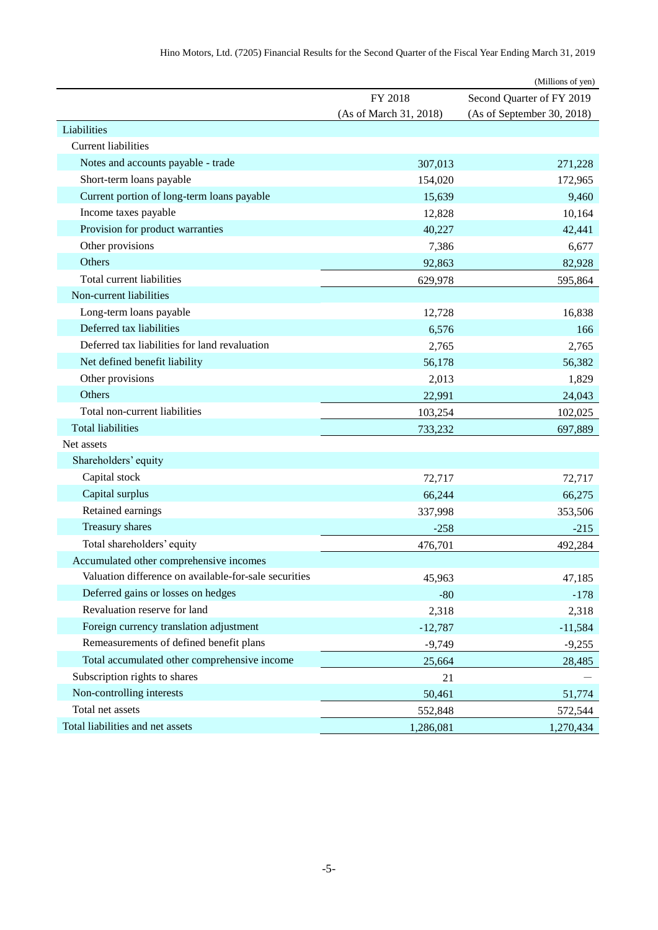|                                                       |                        | (Millions of yen)          |
|-------------------------------------------------------|------------------------|----------------------------|
|                                                       | FY 2018                | Second Quarter of FY 2019  |
|                                                       | (As of March 31, 2018) | (As of September 30, 2018) |
| Liabilities                                           |                        |                            |
| <b>Current liabilities</b>                            |                        |                            |
| Notes and accounts payable - trade                    | 307,013                | 271,228                    |
| Short-term loans payable                              | 154,020                | 172,965                    |
| Current portion of long-term loans payable            | 15,639                 | 9,460                      |
| Income taxes payable                                  | 12,828                 | 10,164                     |
| Provision for product warranties                      | 40,227                 | 42,441                     |
| Other provisions                                      | 7,386                  | 6,677                      |
| Others                                                | 92,863                 | 82,928                     |
| Total current liabilities                             | 629,978                | 595,864                    |
| Non-current liabilities                               |                        |                            |
| Long-term loans payable                               | 12,728                 | 16,838                     |
| Deferred tax liabilities                              | 6,576                  | 166                        |
| Deferred tax liabilities for land revaluation         | 2,765                  | 2,765                      |
| Net defined benefit liability                         | 56,178                 | 56,382                     |
| Other provisions                                      | 2,013                  | 1,829                      |
| Others                                                | 22,991                 | 24,043                     |
| Total non-current liabilities                         | 103,254                | 102,025                    |
| <b>Total liabilities</b>                              | 733,232                | 697,889                    |
| Net assets                                            |                        |                            |
| Shareholders' equity                                  |                        |                            |
| Capital stock                                         | 72,717                 | 72,717                     |
| Capital surplus                                       | 66,244                 | 66,275                     |
| Retained earnings                                     | 337,998                | 353,506                    |
| Treasury shares                                       | $-258$                 | $-215$                     |
| Total shareholders' equity                            | 476,701                | 492,284                    |
| Accumulated other comprehensive incomes               |                        |                            |
| Valuation difference on available-for-sale securities | 45,963                 | 47,185                     |
| Deferred gains or losses on hedges                    | $-80$                  | $-178$                     |
| Revaluation reserve for land                          | 2,318                  | 2,318                      |
| Foreign currency translation adjustment               | $-12,787$              | $-11,584$                  |
| Remeasurements of defined benefit plans               | $-9,749$               | $-9,255$                   |
| Total accumulated other comprehensive income          | 25,664                 | 28,485                     |
| Subscription rights to shares                         | 21                     |                            |
| Non-controlling interests                             | 50,461                 | 51,774                     |
| Total net assets                                      | 552,848                | 572,544                    |
| Total liabilities and net assets                      | 1,286,081              | 1,270,434                  |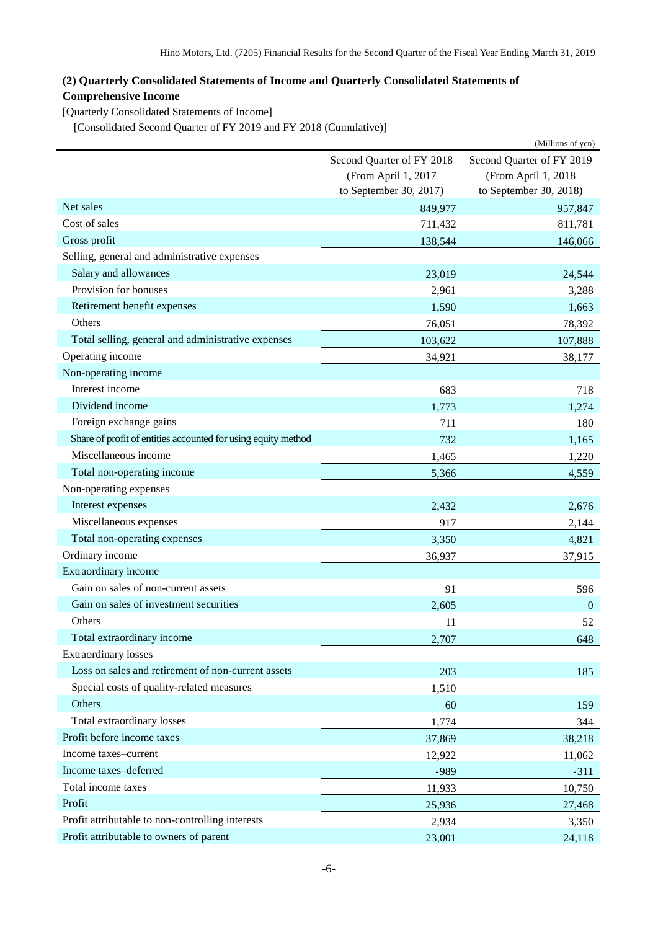# <span id="page-7-0"></span>**(2) Quarterly Consolidated Statements of Income and Quarterly Consolidated Statements of Comprehensive Income**

<span id="page-7-1"></span>[Quarterly Consolidated Statements of Income]

<span id="page-7-2"></span>[Consolidated Second Quarter of FY 2019 and FY 2018 (Cumulative)]

|                                                               |                           | (Millions of yen)         |
|---------------------------------------------------------------|---------------------------|---------------------------|
|                                                               | Second Quarter of FY 2018 | Second Quarter of FY 2019 |
|                                                               | (From April 1, 2017       | (From April 1, 2018       |
|                                                               | to September 30, 2017)    | to September 30, 2018)    |
| Net sales                                                     | 849,977                   | 957,847                   |
| Cost of sales                                                 | 711,432                   | 811,781                   |
| Gross profit                                                  | 138,544                   | 146,066                   |
| Selling, general and administrative expenses                  |                           |                           |
| Salary and allowances                                         | 23,019                    | 24,544                    |
| Provision for bonuses                                         | 2,961                     | 3,288                     |
| Retirement benefit expenses                                   | 1,590                     | 1,663                     |
| Others                                                        | 76,051                    | 78,392                    |
| Total selling, general and administrative expenses            | 103,622                   | 107,888                   |
| Operating income                                              | 34,921                    | 38,177                    |
| Non-operating income                                          |                           |                           |
| Interest income                                               | 683                       | 718                       |
| Dividend income                                               | 1,773                     | 1,274                     |
| Foreign exchange gains                                        | 711                       | 180                       |
| Share of profit of entities accounted for using equity method | 732                       | 1,165                     |
| Miscellaneous income                                          | 1,465                     | 1,220                     |
| Total non-operating income                                    | 5,366                     | 4,559                     |
| Non-operating expenses                                        |                           |                           |
| Interest expenses                                             | 2,432                     | 2,676                     |
| Miscellaneous expenses                                        | 917                       | 2,144                     |
| Total non-operating expenses                                  | 3,350                     | 4,821                     |
| Ordinary income                                               | 36,937                    | 37,915                    |
| Extraordinary income                                          |                           |                           |
| Gain on sales of non-current assets                           | 91                        | 596                       |
| Gain on sales of investment securities                        | 2,605                     | $\mathbf{0}$              |
| Others                                                        | 11                        | 52                        |
| Total extraordinary income                                    | 2,707                     | 648                       |
| <b>Extraordinary losses</b>                                   |                           |                           |
| Loss on sales and retirement of non-current assets            | 203                       | 185                       |
| Special costs of quality-related measures                     | 1,510                     |                           |
| Others                                                        | 60                        | 159                       |
| Total extraordinary losses                                    | 1,774                     | 344                       |
| Profit before income taxes                                    | 37,869                    | 38,218                    |
| Income taxes-current                                          | 12,922                    | 11,062                    |
| Income taxes-deferred                                         | -989                      | $-311$                    |
| Total income taxes                                            | 11,933                    | 10,750                    |
| Profit                                                        | 25,936                    | 27,468                    |
| Profit attributable to non-controlling interests              | 2,934                     | 3,350                     |
| Profit attributable to owners of parent                       | 23,001                    | 24,118                    |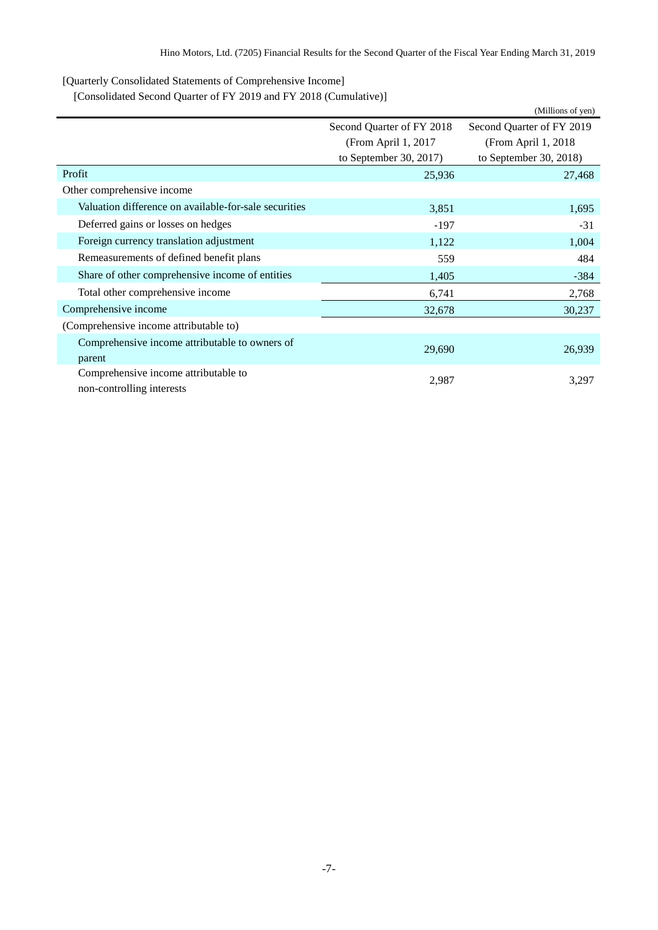<span id="page-8-0"></span>[Quarterly Consolidated Statements of Comprehensive Income]

<span id="page-8-1"></span>[Consolidated Second Quarter of FY 2019 and FY 2018 (Cumulative)]

|                                                       |                           | (Millions of yen)         |  |
|-------------------------------------------------------|---------------------------|---------------------------|--|
|                                                       | Second Quarter of FY 2018 | Second Quarter of FY 2019 |  |
|                                                       | (From April 1, 2017)      | (From April 1, 2018)      |  |
|                                                       | to September 30, 2017)    | to September 30, 2018)    |  |
| Profit                                                | 25,936                    | 27,468                    |  |
| Other comprehensive income                            |                           |                           |  |
| Valuation difference on available-for-sale securities | 3,851                     | 1,695                     |  |
| Deferred gains or losses on hedges                    | $-197$                    | $-31$                     |  |
| Foreign currency translation adjustment               | 1,122                     | 1,004                     |  |
| Remeasurements of defined benefit plans               | 559                       | 484                       |  |
| Share of other comprehensive income of entities       | 1,405                     | $-384$                    |  |
| Total other comprehensive income                      | 6,741                     | 2,768                     |  |
| Comprehensive income                                  | 32,678                    | 30,237                    |  |
| (Comprehensive income attributable to)                |                           |                           |  |
| Comprehensive income attributable to owners of        | 29,690                    | 26,939                    |  |
| parent                                                |                           |                           |  |
| Comprehensive income attributable to                  | 2,987                     | 3,297                     |  |
| non-controlling interests                             |                           |                           |  |